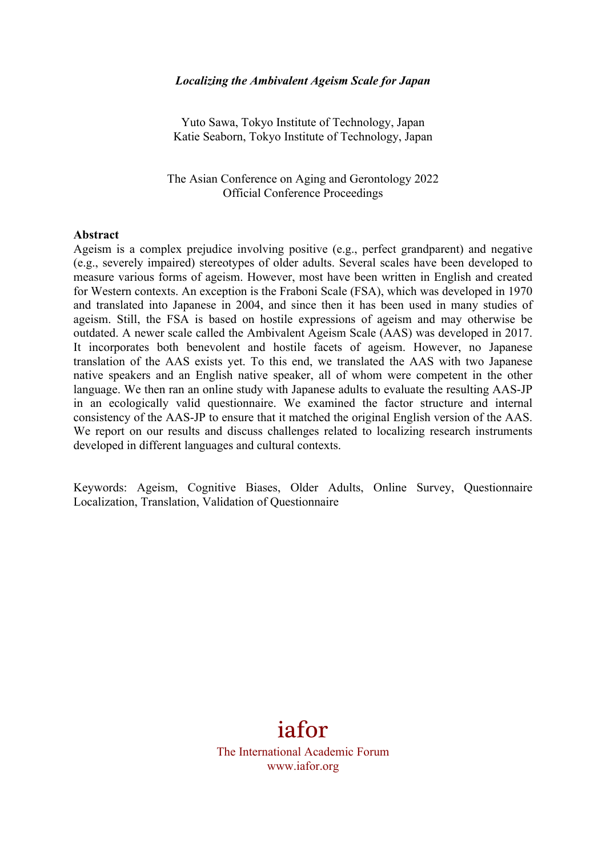#### *Localizing the Ambivalent Ageism Scale for Japan*

Yuto Sawa, Tokyo Institute of Technology, Japan Katie Seaborn, Tokyo Institute of Technology, Japan

The Asian Conference on Aging and Gerontology 2022 Official Conference Proceedings

#### **Abstract**

Ageism is a complex prejudice involving positive (e.g., perfect grandparent) and negative (e.g., severely impaired) stereotypes of older adults. Several scales have been developed to measure various forms of ageism. However, most have been written in English and created for Western contexts. An exception is the Fraboni Scale (FSA), which was developed in 1970 and translated into Japanese in 2004, and since then it has been used in many studies of ageism. Still, the FSA is based on hostile expressions of ageism and may otherwise be outdated. A newer scale called the Ambivalent Ageism Scale (AAS) was developed in 2017. It incorporates both benevolent and hostile facets of ageism. However, no Japanese translation of the AAS exists yet. To this end, we translated the AAS with two Japanese native speakers and an English native speaker, all of whom were competent in the other language. We then ran an online study with Japanese adults to evaluate the resulting AAS-JP in an ecologically valid questionnaire. We examined the factor structure and internal consistency of the AAS-JP to ensure that it matched the original English version of the AAS. We report on our results and discuss challenges related to localizing research instruments developed in different languages and cultural contexts.

Keywords: Ageism, Cognitive Biases, Older Adults, Online Survey, Questionnaire Localization, Translation, Validation of Questionnaire

# iafor

The International Academic Forum www.iafor.org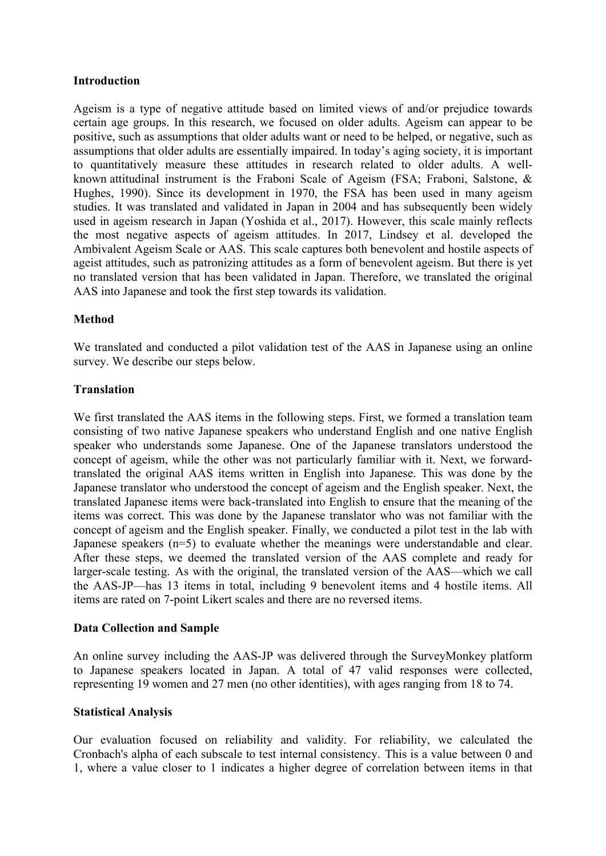## **Introduction**

Ageism is a type of negative attitude based on limited views of and/or prejudice towards certain age groups. In this research, we focused on older adults. Ageism can appear to be positive, such as assumptions that older adults want or need to be helped, or negative, such as assumptions that older adults are essentially impaired. In today's aging society, it is important to quantitatively measure these attitudes in research related to older adults. A wellknown attitudinal instrument is the Fraboni Scale of Ageism (FSA; Fraboni, Salstone, & Hughes, 1990). Since its development in 1970, the FSA has been used in many ageism studies. It was translated and validated in Japan in 2004 and has subsequently been widely used in ageism research in Japan (Yoshida et al., 2017). However, this scale mainly reflects the most negative aspects of ageism attitudes. In 2017, Lindsey et al. developed the Ambivalent Ageism Scale or AAS. This scale captures both benevolent and hostile aspects of ageist attitudes, such as patronizing attitudes as a form of benevolent ageism. But there is yet no translated version that has been validated in Japan. Therefore, we translated the original AAS into Japanese and took the first step towards its validation.

## **Method**

We translated and conducted a pilot validation test of the AAS in Japanese using an online survey. We describe our steps below.

### **Translation**

We first translated the AAS items in the following steps. First, we formed a translation team consisting of two native Japanese speakers who understand English and one native English speaker who understands some Japanese. One of the Japanese translators understood the concept of ageism, while the other was not particularly familiar with it. Next, we forwardtranslated the original AAS items written in English into Japanese. This was done by the Japanese translator who understood the concept of ageism and the English speaker. Next, the translated Japanese items were back-translated into English to ensure that the meaning of the items was correct. This was done by the Japanese translator who was not familiar with the concept of ageism and the English speaker. Finally, we conducted a pilot test in the lab with Japanese speakers (n=5) to evaluate whether the meanings were understandable and clear. After these steps, we deemed the translated version of the AAS complete and ready for larger-scale testing. As with the original, the translated version of the AAS—which we call the AAS-JP—has 13 items in total, including 9 benevolent items and 4 hostile items. All items are rated on 7-point Likert scales and there are no reversed items.

### **Data Collection and Sample**

An online survey including the AAS-JP was delivered through the SurveyMonkey platform to Japanese speakers located in Japan. A total of 47 valid responses were collected, representing 19 women and 27 men (no other identities), with ages ranging from 18 to 74.

### **Statistical Analysis**

Our evaluation focused on reliability and validity. For reliability, we calculated the Cronbach's alpha of each subscale to test internal consistency. This is a value between 0 and 1, where a value closer to 1 indicates a higher degree of correlation between items in that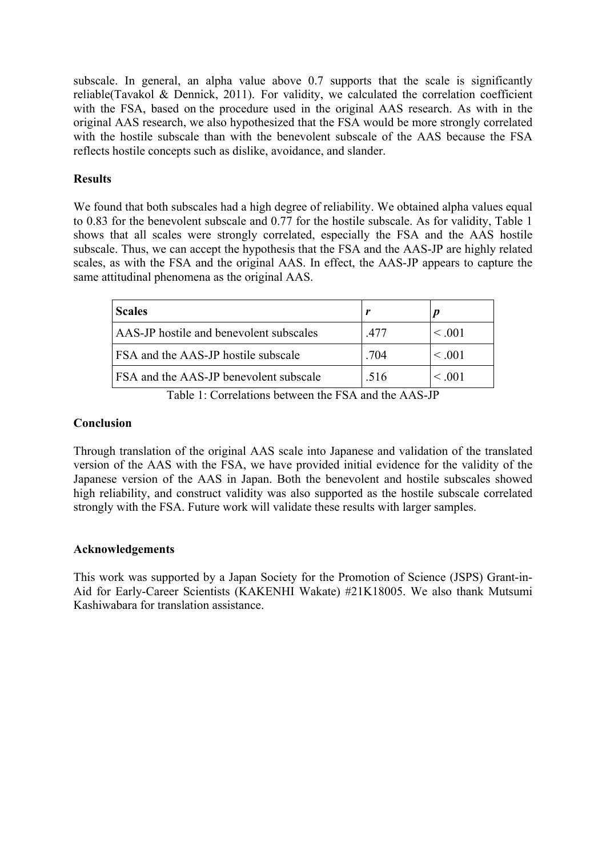subscale. In general, an alpha value above 0.7 supports that the scale is significantly reliable(Tavakol & Dennick, 2011). For validity, we calculated the correlation coefficient with the FSA, based on the procedure used in the original AAS research. As with in the original AAS research, we also hypothesized that the FSA would be more strongly correlated with the hostile subscale than with the benevolent subscale of the AAS because the FSA reflects hostile concepts such as dislike, avoidance, and slander.

## **Results**

We found that both subscales had a high degree of reliability. We obtained alpha values equal to 0.83 for the benevolent subscale and 0.77 for the hostile subscale. As for validity, Table 1 shows that all scales were strongly correlated, especially the FSA and the AAS hostile subscale. Thus, we can accept the hypothesis that the FSA and the AAS-JP are highly related scales, as with the FSA and the original AAS. In effect, the AAS-JP appears to capture the same attitudinal phenomena as the original AAS.

| <b>Scales</b>                                 |      |              |
|-----------------------------------------------|------|--------------|
| AAS-JP hostile and benevolent subscales       | -477 | $\leq .001$  |
| <b>FSA</b> and the AAS-JP hostile subscale    | .704 | $\leq .001$  |
| <b>FSA</b> and the AAS-JP benevolent subscale | .516 | $\leq 0.001$ |

Table 1: Correlations between the FSA and the AAS-JP

## **Conclusion**

Through translation of the original AAS scale into Japanese and validation of the translated version of the AAS with the FSA, we have provided initial evidence for the validity of the Japanese version of the AAS in Japan. Both the benevolent and hostile subscales showed high reliability, and construct validity was also supported as the hostile subscale correlated strongly with the FSA. Future work will validate these results with larger samples.

## **Acknowledgements**

This work was supported by a Japan Society for the Promotion of Science (JSPS) Grant-in-Aid for Early-Career Scientists (KAKENHI Wakate) #21K18005. We also thank Mutsumi Kashiwabara for translation assistance.